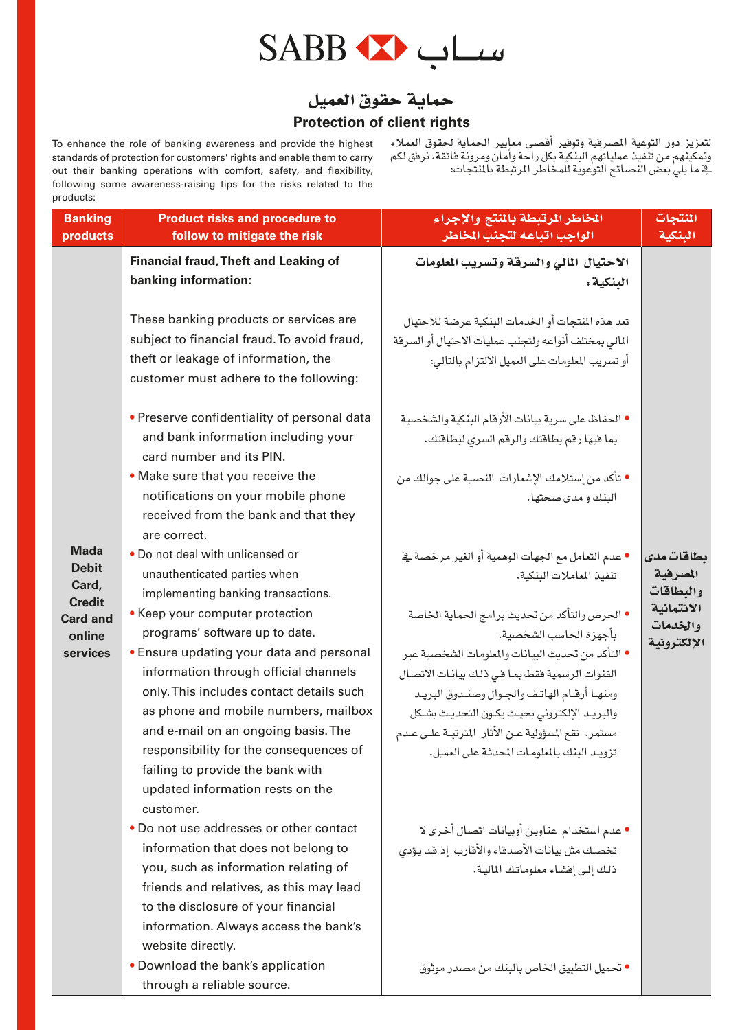

#### حماية حقوق العميل **Protection of client rights**

To enhance the role of banking awareness and provide the highest standards of protection for customers' rights and enable them to carry out their banking operations with comfort, safety, and flexibility, following some awareness-raising tips for the risks related to the products:

لتعزيز دور التوعية المصرفية وتوفير أفصى معايير الحماية لحقوق العملاء<br>وتمكينهم من تنفيذ عملياتهم البنكية بكل راحة وأمان ومرونة فائقة، نرفق لكم يَّةِ ما يليٰ بعض النّصائحِ التوعوية للمخاطرِ المرتّبطة بالمنتّجات:

| prouucis:<br><b>Banking</b>      | <b>Product risks and procedure to</b>                                                                                                                                   | الخاطر الرتبطة بالنتج والإجراء                                                                                                                                | المنتجات                |
|----------------------------------|-------------------------------------------------------------------------------------------------------------------------------------------------------------------------|---------------------------------------------------------------------------------------------------------------------------------------------------------------|-------------------------|
| products                         | follow to mitigate the risk                                                                                                                                             | الواجب اتباعه لتجنب المخاطر                                                                                                                                   | البنكية                 |
|                                  | <b>Financial fraud, Theft and Leaking of</b>                                                                                                                            | الاحتيال المالى والسرقة وتسريب المعلومات                                                                                                                      |                         |
|                                  | banking information:                                                                                                                                                    | البنكية :                                                                                                                                                     |                         |
|                                  | These banking products or services are<br>subject to financial fraud. To avoid fraud,<br>theft or leakage of information, the<br>customer must adhere to the following: | تعد هذه المنتحات أو الخدمات البنكية عرضة للإحتيال<br>المالى بمختلف أنواعه ولتجنب عمليات الاحتيال أو السرفة<br>أو تسريب المعلومات على العميل الالتزام بالتالي: |                         |
|                                  | • Preserve confidentiality of personal data<br>and bank information including your<br>card number and its PIN.                                                          | • الحفاظ على سرية بيانات الأرقام البنكية والشخصية<br>بما فيها رقم بطاقتك والرقم السرى لبطاقتك.                                                                |                         |
|                                  | • Make sure that you receive the                                                                                                                                        | ● تأكد من إستلامك الإشعارات النصية على جوالك من                                                                                                               |                         |
|                                  | notifications on your mobile phone<br>received from the bank and that they<br>are correct.                                                                              | البنك و مدى صحتها.                                                                                                                                            |                         |
| <b>Mada</b>                      | . Do not deal with unlicensed or                                                                                                                                        | ● عدم التعامل مع الجهات الوهمية أو الغير مرخصة يخ                                                                                                             | بطاقات مدى              |
| <b>Debit</b>                     | unauthenticated parties when                                                                                                                                            | تنفيذ المعاملات البنكية.                                                                                                                                      | المصرفية                |
| Card,                            | implementing banking transactions.                                                                                                                                      |                                                                                                                                                               | والبطاقات               |
| <b>Credit</b><br><b>Card and</b> | • Keep your computer protection                                                                                                                                         | • الحرص والتأكد من تحديث برامج الحماية الخاصة                                                                                                                 | الائتمانية              |
| online                           | programs' software up to date.                                                                                                                                          | بأجهزة الحاسب الشخصية.                                                                                                                                        | والخدمات<br>الإلكترونية |
| services                         | • Ensure updating your data and personal                                                                                                                                | • التأكد من تحديث البيانات والملومات الشخصية عبر                                                                                                              |                         |
|                                  | information through official channels                                                                                                                                   | القنوات الرسمية فقط بما فى ذلك بيانات الاتصال                                                                                                                 |                         |
|                                  | only. This includes contact details such                                                                                                                                | ومنها أرقام الهاتف والجوال وصندوق البريد                                                                                                                      |                         |
|                                  | as phone and mobile numbers, mailbox                                                                                                                                    | والبريد الإلكتروني بحيث يكون التحديث بشكل                                                                                                                     |                         |
|                                  | and e-mail on an ongoing basis. The                                                                                                                                     | مستمر. تقع المسؤولية عـن الأثار المترتبـة علـى عـدم                                                                                                           |                         |
|                                  | responsibility for the consequences of                                                                                                                                  | تزويد البنك بالمعلومات المحدثة على العميل.                                                                                                                    |                         |
|                                  | failing to provide the bank with<br>updated information rests on the<br>customer.                                                                                       |                                                                                                                                                               |                         |
|                                  | • Do not use addresses or other contact                                                                                                                                 | • عدم استخدام عناوين أوبيانات اتصال أخرى لا                                                                                                                   |                         |
|                                  | information that does not belong to                                                                                                                                     | تخصك مثل بيانات الأصدقاء والأقارب إذ قد يؤدي                                                                                                                  |                         |
|                                  | you, such as information relating of                                                                                                                                    | ذلك إلى إفشاء معلوماتك المالية.                                                                                                                               |                         |
|                                  | friends and relatives, as this may lead                                                                                                                                 |                                                                                                                                                               |                         |
|                                  | to the disclosure of your financial                                                                                                                                     |                                                                                                                                                               |                         |
|                                  | information. Always access the bank's                                                                                                                                   |                                                                                                                                                               |                         |
|                                  | website directly.                                                                                                                                                       |                                                                                                                                                               |                         |
|                                  | • Download the bank's application<br>through a reliable source.                                                                                                         | ● تحميل التطبيق الخاص بالبنك من مصدر موثوق                                                                                                                    |                         |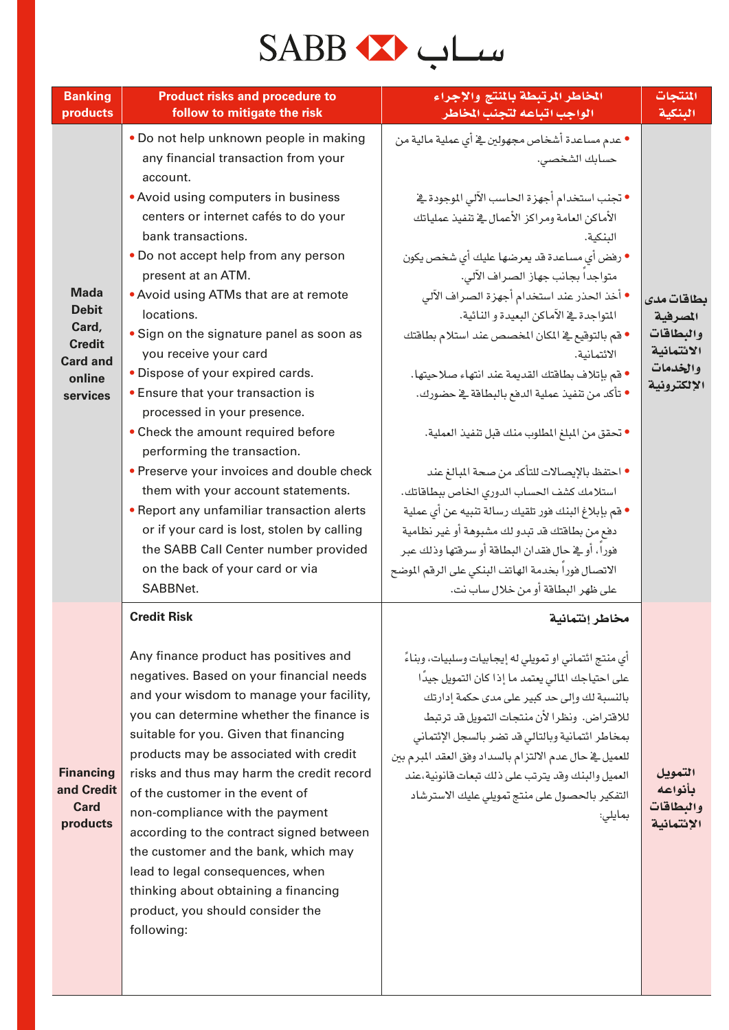## سىلب ئىكە SABB

| <b>Banking</b>                                                                                 | <b>Product risks and procedure to</b>                                                                                                                                                                                                                                                                                                                                                                                                                                                                                                                                                                                                                                                                                                          | الخاطر الرتبطة بالمنتج والإجراء                                                                                                                                                                                                                                                                                                                                                                                                                                                                                                                                                                                                                                                                                                                                                                                                                                       | المنتجات                                                                     |
|------------------------------------------------------------------------------------------------|------------------------------------------------------------------------------------------------------------------------------------------------------------------------------------------------------------------------------------------------------------------------------------------------------------------------------------------------------------------------------------------------------------------------------------------------------------------------------------------------------------------------------------------------------------------------------------------------------------------------------------------------------------------------------------------------------------------------------------------------|-----------------------------------------------------------------------------------------------------------------------------------------------------------------------------------------------------------------------------------------------------------------------------------------------------------------------------------------------------------------------------------------------------------------------------------------------------------------------------------------------------------------------------------------------------------------------------------------------------------------------------------------------------------------------------------------------------------------------------------------------------------------------------------------------------------------------------------------------------------------------|------------------------------------------------------------------------------|
| products                                                                                       | follow to mitigate the risk                                                                                                                                                                                                                                                                                                                                                                                                                                                                                                                                                                                                                                                                                                                    | الواجب اتباعه لتجنب المخاطر                                                                                                                                                                                                                                                                                                                                                                                                                                                                                                                                                                                                                                                                                                                                                                                                                                           | البنكية                                                                      |
|                                                                                                | • Do not help unknown people in making<br>any financial transaction from your<br>account.                                                                                                                                                                                                                                                                                                                                                                                                                                                                                                                                                                                                                                                      | • عدم مساعدة أشخاص مجهولين في أي عملية مالية من<br>حسابك الشخصي.                                                                                                                                                                                                                                                                                                                                                                                                                                                                                                                                                                                                                                                                                                                                                                                                      |                                                                              |
| <b>Mada</b><br><b>Debit</b><br>Card,<br><b>Credit</b><br><b>Card and</b><br>online<br>services | • Avoid using computers in business<br>centers or internet cafés to do your<br>bank transactions.<br>• Do not accept help from any person<br>present at an ATM.<br>• Avoid using ATMs that are at remote<br>locations.<br>• Sign on the signature panel as soon as<br>you receive your card<br>• Dispose of your expired cards.<br>• Ensure that your transaction is<br>processed in your presence.<br>• Check the amount required before<br>performing the transaction.<br>• Preserve your invoices and double check<br>them with your account statements.<br>• Report any unfamiliar transaction alerts<br>or if your card is lost, stolen by calling<br>the SABB Call Center number provided<br>on the back of your card or via<br>SABBNet. | • تجنب استخدام أجهزة الحاسب الآلي الموجودة في<br>الأماكن العامة ومراكز الأعمال في تنفيذ عملياتك<br>البنكية.<br>• رفض أي مساعدة قد يعرضها عليك أي شخص يكون<br>متواجدا بجانب جهاز الصراف الآلي.<br>• أخذ الحذر عند استخدام أجهزة الصراف الآلى<br>المتواجدة في الآماكن البعيدة و النائية.<br>• قم بالتوقيع في المكان المخصص عند استلام بطاقتك<br>الائتمانية.<br>• قم بإتلاف بطاقتك القديمة عند انتهاء صلاحيتها.<br>● تأكد من تنفيذ عملية الدفع بالبطاقة في حضورك.<br>● تحقق من المبلغ المطلوب منك فبل تنفيذ العملية.<br>• احتفظ بالإيصالات للتأكد من صحة المبالغ عند<br>استلامك كشف الحساب الدوري الخاص ببطاقاتك.<br>● قم بإبلاغ البنك فور تلقيك رسالة تنبيه عن أي عملية<br>دفع من بطاقتك قد تبدو لك مشبوهة أو غير نظامية<br>فورا، أو في حال فقدان البطاقة أو سرقتها وذلك عبر<br>الاتصال فورا بخدمة الهاتف البنكي على الرقم الموضح<br>على ظهر البطاقة أو من خلال ساب نت. | بطاقات مدى<br>المصرفية<br>والبطاقات<br>الائتمانية<br>والخدمات<br>الإلكترونية |
| <b>Financing</b><br>and Credit<br><b>Card</b><br>products                                      | <b>Credit Risk</b><br>Any finance product has positives and<br>negatives. Based on your financial needs<br>and your wisdom to manage your facility,<br>you can determine whether the finance is<br>suitable for you. Given that financing<br>products may be associated with credit<br>risks and thus may harm the credit record<br>of the customer in the event of<br>non-compliance with the payment<br>according to the contract signed between<br>the customer and the bank, which may<br>lead to legal consequences, when<br>thinking about obtaining a financing<br>product, you should consider the<br>following:                                                                                                                       | مخاطر إئتمانية<br>أي منتج ائتماني او تمويلي له إيجابيات وسلبيات، وبناءً<br>على احتياجك المالي يعتمد ما إذا كان التمويل جيدًا<br>بالنسبة لك وإلى حد كبير على مدى حكمة إدارتك<br>للاقتراض. ونظرا لأن منتحات التمويل قد ترتبط<br>بمخاطر ائتمانية وبالتالي قد تضر بالسجل الإئتماني<br>للعميل في حال عدم الالتزام بالسداد وفق العقد المبرم بين<br>العميل والبنك وقد يترتب على ذلك تبعات فانونية،عند<br>التفكير بالحصول على منتج تمويلي عليك الاسترشاد<br>بمايلى:                                                                                                                                                                                                                                                                                                                                                                                                           | التمويل<br>بأنواعه<br>والبطاقات<br>الإئتمانية                                |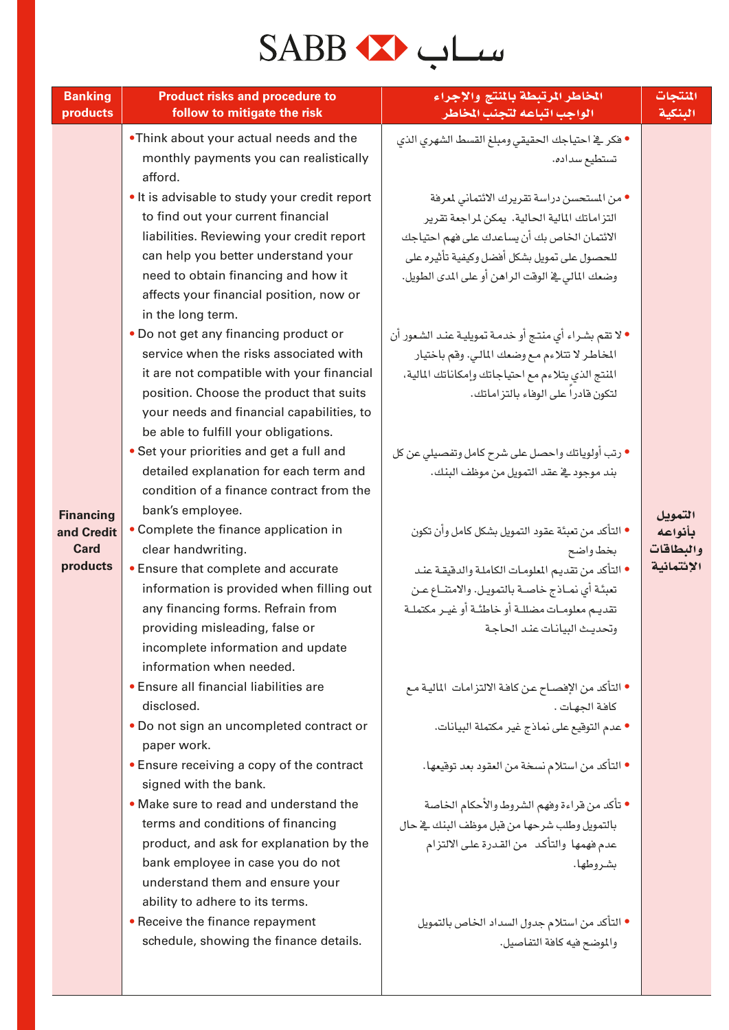## سىلب ئىكە SABB

| <b>Banking</b><br>products | <b>Product risks and procedure to</b><br>follow to mitigate the risk                                                                                                                                                                                      | المخاطر المرتبطة بالمنتج والإجراء<br>الواجب اتباعه لتجنب المخاطر                                                                                                                                                                                 | المنتجات<br>البنكية  |
|----------------------------|-----------------------------------------------------------------------------------------------------------------------------------------------------------------------------------------------------------------------------------------------------------|--------------------------------------------------------------------------------------------------------------------------------------------------------------------------------------------------------------------------------------------------|----------------------|
|                            | .Think about your actual needs and the<br>monthly payments you can realistically<br>afford.                                                                                                                                                               | • فكر في احتياجك الحقيقى ومبلغ القسط الشهري الذي<br>تستطيع سداده.                                                                                                                                                                                |                      |
|                            | . It is advisable to study your credit report<br>to find out your current financial<br>liabilities. Reviewing your credit report<br>can help you better understand your<br>need to obtain financing and how it<br>affects your financial position, now or | • من المستحسن دراسة تقريرك الائتماني لمعرفة<br>التز اماتك المالية الحالية. يمكن لمراجعة تقرير<br>الائتمان الخاص بك أن يساعدك على فهم احتياجك<br>للحصول على تمويل بشكل أفضل وكيفية تأثيره على<br>وضعك المالي في الوقت الراهن أو على المدى الطويل. |                      |
|                            | in the long term.<br>• Do not get any financing product or<br>service when the risks associated with<br>it are not compatible with your financial<br>position. Choose the product that suits<br>your needs and financial capabilities, to                 | • لا تقم بشـراء أي منتـج أو خدمـة تمويليـة عنـد الشـعور أن<br>المخاطر لا تتلاءم مع وضعك المالي. وقم باختيار<br>المنتج الذي يتلاءم مع احتياجاتك وإمكاناتك المالية،<br>لتكون قادراً على الوفاء بالتز اماتك.                                        |                      |
| <b>Financing</b>           | be able to fulfill your obligations.<br>• Set your priorities and get a full and<br>detailed explanation for each term and<br>condition of a finance contract from the<br>bank's employee.                                                                | • رتب أولوياتك واحصل على شرح كامل وتفصيلي عن كل<br>بند موجود في عقد التمويل من موظف البنك.                                                                                                                                                       | التمويل              |
| and Credit<br><b>Card</b>  | • Complete the finance application in<br>clear handwriting.                                                                                                                                                                                               | ● التأكد من تعبِئة عقود التمويل بشكل كامل وأن تكون<br>بخط واضح                                                                                                                                                                                   | بأنواعه<br>والبطاقات |
| products                   | • Ensure that complete and accurate<br>information is provided when filling out<br>any financing forms. Refrain from<br>providing misleading, false or<br>incomplete information and update<br>information when needed.                                   | • التأكد من تقديم المعلومات الكاملة والدفيقة عند<br>تعبئة أي نماذج خاصة بالتمويل. والامتناع عن<br>تقديـم معلومـات مضللـة أو خاطئـة أو غيـر مكتملـة<br>وتحديث البيانات عند الحاجة                                                                 | الإئتمانية           |
|                            | • Ensure all financial liabilities are<br>disclosed.<br>• Do not sign an uncompleted contract or                                                                                                                                                          | • التأكد من الإفصــاح عـن كافـة الالتزامـات  الماليـة مـع<br>كافة الجهات.<br>● عدم التوقيع على نماذج غير مكتملة البيانات.                                                                                                                        |                      |
|                            | paper work.<br>• Ensure receiving a copy of the contract<br>signed with the bank.                                                                                                                                                                         | ● التأكد من استلام نسخة من العقود بعد توقيعها.                                                                                                                                                                                                   |                      |
|                            | • Make sure to read and understand the<br>terms and conditions of financing<br>product, and ask for explanation by the                                                                                                                                    | • تأكد من قراءة وفهم الشروط والأحكام الخاصة<br>بالتمويل وطلب شرحها من قبل موظف البنك في حال<br>عدم فهمها والتأكد ًمن القدرة على الالتزام                                                                                                         |                      |
|                            | bank employee in case you do not<br>understand them and ensure your<br>ability to adhere to its terms.                                                                                                                                                    | بشر وطها.                                                                                                                                                                                                                                        |                      |
|                            | • Receive the finance repayment<br>schedule, showing the finance details.                                                                                                                                                                                 | • التأكد من استلام جدول السداد الخاص بالتمويل<br>والموضح فيه كافة التفاصيل.                                                                                                                                                                      |                      |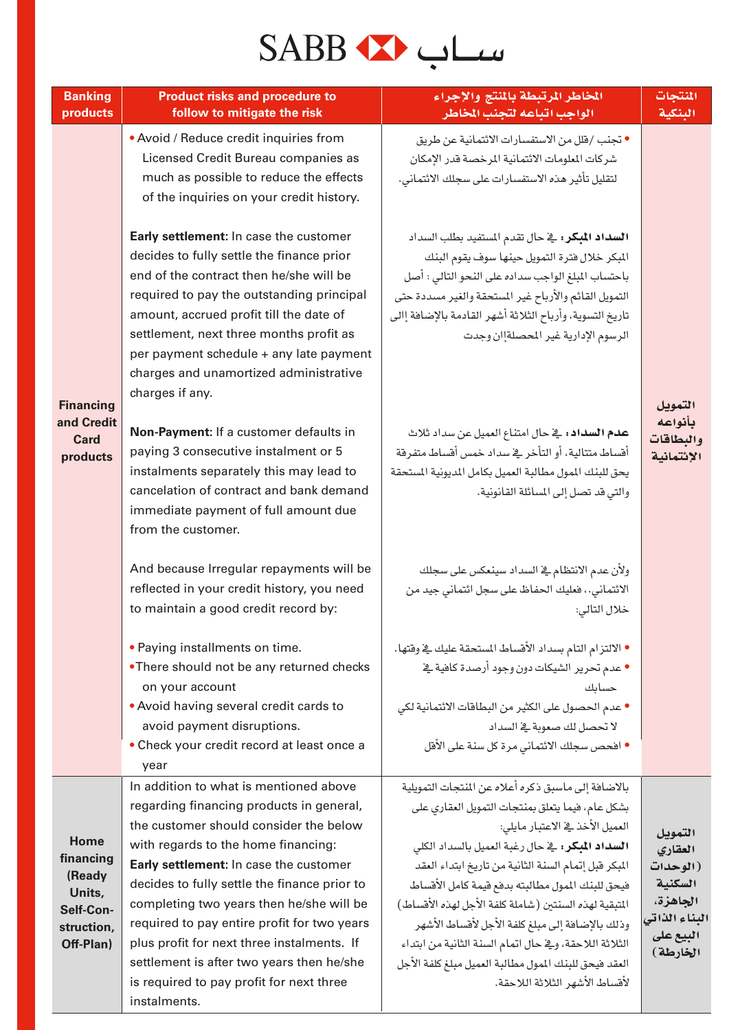# SABB

| <b>Banking</b><br>products                         | <b>Product risks and procedure to</b><br>follow to mitigate the risk                                                                                                                                                                                                                                                                                                      | المخاطر المرتبطة بالمنتج والإجراء<br>الواجب اتباعه لتجنب المخاطر                                                                                                                                                                                                                                                          | المنتجات<br>البنكية                                                    |
|----------------------------------------------------|---------------------------------------------------------------------------------------------------------------------------------------------------------------------------------------------------------------------------------------------------------------------------------------------------------------------------------------------------------------------------|---------------------------------------------------------------------------------------------------------------------------------------------------------------------------------------------------------------------------------------------------------------------------------------------------------------------------|------------------------------------------------------------------------|
|                                                    | • Avoid / Reduce credit inquiries from<br>Licensed Credit Bureau companies as<br>much as possible to reduce the effects<br>of the inquiries on your credit history.                                                                                                                                                                                                       | • تجنب /قلل من الاستفسارات الائتمانية عن طريق<br>شركات الملومات الائتمانية المرخصة قدر الإمكان<br>لتقليل تأثير هذه الاستفسارات على سجلك الائتمانى.                                                                                                                                                                        |                                                                        |
|                                                    | Early settlement: In case the customer<br>decides to fully settle the finance prior<br>end of the contract then he/she will be<br>required to pay the outstanding principal<br>amount, accrued profit till the date of<br>settlement, next three months profit as<br>per payment schedule + any late payment<br>charges and unamortized administrative<br>charges if any. | <b>السداد المبكر:</b> في حال تقدم المستفيد بطلب السداد<br>المبكر خلال فترة التمويل حينها سوف يقوم البنك<br>باحتساب المبلغ الواجب سداده على النحو التالي : أصل<br>التمويل القائم والأرباح غير المستحقة والغير مسددة حتى<br>تاريخ التسوية، وأرباح الثلاثة أشهر القادمة بالإضافة إالى<br>الرسوم الإدارية غير المحصلةإان وجدت |                                                                        |
| <b>Financing</b><br>and Credit<br>Card<br>products | Non-Payment: If a customer defaults in<br>paying 3 consecutive instalment or 5<br>instalments separately this may lead to<br>cancelation of contract and bank demand<br>immediate payment of full amount due<br>from the customer.                                                                                                                                        | <b>عدم السداد:</b> في حال امتناع العميل عن سداد ثلاث<br>أقساط متتالية، أو التأخر في سداد خمس أقساط متفرقة<br>يحق للبنك المول مطالبة العميل بكامل الديونية المستحقة<br>والتي قد تصل إلى المسائلة القانونية.                                                                                                                | التمويل<br>بأنواعه<br>والبطاقات<br>الإئتمانية                          |
|                                                    | And because Irregular repayments will be<br>reflected in your credit history, you need<br>to maintain a good credit record by:                                                                                                                                                                                                                                            | ولأن عدم الانتظام في السداد سينعكس على سجلك<br>الائتماني. ، فعليك الحفاظ على سجل ائتماني جيد من<br>خلال التالي:                                                                                                                                                                                                           |                                                                        |
|                                                    | • Paying installments on time.<br>•There should not be any returned checks<br>on your account<br>• Avoid having several credit cards to<br>avoid payment disruptions.                                                                                                                                                                                                     | ● الالتزام التام بسداد الأفساط المستحقة عليك في وفتها.<br>● عدم تحرير الشيكات دون وجود أرصدة كافية في<br>حسائك<br>• عدم الحصول على الكثير من البطاقات الائتمانية لكي<br>لا تحصل لك صعوبة في السداد                                                                                                                        |                                                                        |
|                                                    | • Check your credit record at least once a<br>year                                                                                                                                                                                                                                                                                                                        | ● افحص سجلك الائتماني مرة كل سنة على الأفل                                                                                                                                                                                                                                                                                |                                                                        |
|                                                    | In addition to what is mentioned above<br>regarding financing products in general,<br>the customer should consider the below                                                                                                                                                                                                                                              | بالاضافة إلى ماسبق ذكره أعلاه عن المنجات التمويلية<br>بشكل عام، فيما يتعلق بمنتجات التمويل العقارى على<br>العميل الأخذ يۓ الاعتبار مايلي:                                                                                                                                                                                 |                                                                        |
| Home<br>financing<br>(Ready<br>Units,<br>Self-Con- | with regards to the home financing:<br>Early settlement: In case the customer<br>decides to fully settle the finance prior to<br>completing two years then he/she will be                                                                                                                                                                                                 | <b>السداد المبكر:</b> في حال رغبة العميل بالسداد الكل <i>ى</i><br>المبكر فبل إتمام السنة الثانية من تاريخ ابتداء العقد<br>فيحق للبنك المول مطالبته بدفع قيمة كامل الأقساط<br>المتبقية لهذه السنتين (شاملة كلفة الأجل لهذه الأقساط)                                                                                        | التمويل<br>العقاري<br>(الوحدات<br>السكنية<br>الجاهزة،<br>البناء الذاتي |
| struction,<br>Off-Plan)                            | required to pay entire profit for two years<br>plus profit for next three instalments. If<br>settlement is after two years then he/she<br>is required to pay profit for next three<br>instalments.                                                                                                                                                                        | وذلك بالإضافة إلى مبلغ كلفة الأجل لأقساط الأشهر<br>الثلاثة اللاحقة، وفي حال اتمام السنة الثانية من ابتداء<br>العقد فيحق للبنك الممول مطالبة العميل مبلغ كلفة الأجل<br>لأقساط الأشهر الثلاثة اللاحقة.                                                                                                                      | البيع على<br>الخارطة)                                                  |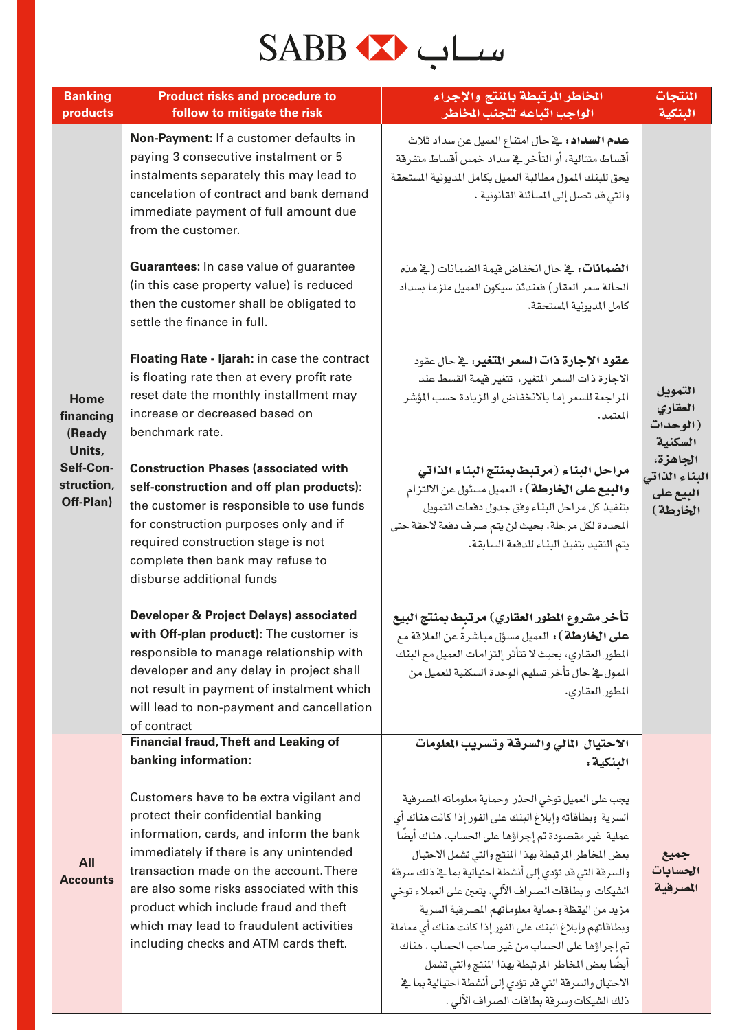### سىياب ھىكى SABB

| <b>Banking</b><br>products                                            | <b>Product risks and procedure to</b><br>follow to mitigate the risk                                                                                                                                                                                                                                                                                                                                                                                                                                                                       | المخاطر المرتبطة بالمنتج والإجراء<br>الواجب اتباعه لتجنب المخاطر                                                                                                                                                                                                                                                                                                                                                                                                                                                                                                       | المنتجات<br>البنكية                                                                  |
|-----------------------------------------------------------------------|--------------------------------------------------------------------------------------------------------------------------------------------------------------------------------------------------------------------------------------------------------------------------------------------------------------------------------------------------------------------------------------------------------------------------------------------------------------------------------------------------------------------------------------------|------------------------------------------------------------------------------------------------------------------------------------------------------------------------------------------------------------------------------------------------------------------------------------------------------------------------------------------------------------------------------------------------------------------------------------------------------------------------------------------------------------------------------------------------------------------------|--------------------------------------------------------------------------------------|
| Home                                                                  | Non-Payment: If a customer defaults in<br>paying 3 consecutive instalment or 5<br>instalments separately this may lead to<br>cancelation of contract and bank demand<br>immediate payment of full amount due<br>from the customer.<br>Guarantees: In case value of guarantee<br>(in this case property value) is reduced<br>then the customer shall be obligated to<br>settle the finance in full.<br>Floating Rate - Ijarah: in case the contract<br>is floating rate then at every profit rate<br>reset date the monthly installment may | <b>عدم السداد :</b> _ ضحال امتناع العميل عن سداد ثلاث<br>أقساط متتالية، أو التأخر في سداد خمس أقساط متفرقة<br>يحق للبنك المول مطالبة العميل بكامل الديونية المستحقة<br>والتي قد تصل إلى المسائلة القانونية .<br>ا <b>لضمانات:</b> في حال انخفاض قيمة الضمانات (في هذه<br>الحالة سعر العقار) فعندئذ سيكون العميل ملزما بسداد<br>كامل المديونية المستحقة.<br>عقود الإجارة ذات السعر المتغير؛ في حال عقود<br>الاجارة ذات السعر المتغير، تتغير فيمة القسط عند<br>المراجعة للسعر إما بالانخفاض او الزيادة حسب المؤشر                                                        | التمويل                                                                              |
| financing<br>(Ready<br>Units,<br>Self-Con-<br>struction,<br>Off-Plan) | increase or decreased based on<br>benchmark rate.<br><b>Construction Phases (associated with</b><br>self-construction and off plan products):<br>the customer is responsible to use funds<br>for construction purposes only and if<br>required construction stage is not<br>complete then bank may refuse to<br>disburse additional funds                                                                                                                                                                                                  | المعتمد.<br>مراحل البناء (مرتبط بمنتج البناء الذاتي<br><b>والبيع على الخارطة</b> ): العميل مسئول عن الالتزام<br>بتنفيذ كل مراحل البناء وفق جدول دفعات التمويل<br>المحددة لكل مرحلة، بحيث لن يتم صرف دفعة لاحقة حتى<br>يتم التقيد بتفيذ البناء للدفعة السابقة.                                                                                                                                                                                                                                                                                                          | العقاري<br>(الوحدات<br>السكنية<br>الجاهزة،<br>البناء الذاتي<br>البيع على<br>الخارطة) |
|                                                                       | <b>Developer &amp; Project Delays) associated</b><br>with Off-plan product): The customer is<br>responsible to manage relationship with<br>developer and any delay in project shall<br>not result in payment of instalment which<br>will lead to non-payment and cancellation<br>of contract                                                                                                                                                                                                                                               | تأخر مشروع المطور العقاري) مرتبط بمنتج البيع<br><b>على الخارطة</b> ) : العميل مسؤل مباشرةً عن العلاقة مع<br>المطور العقارى، بحيث لا تتأثر إلتزامات العميل مع البنك<br>المول في حال تأخر تسليم الوحدة السكنية للعميل من<br>المطور العقاري.                                                                                                                                                                                                                                                                                                                              |                                                                                      |
|                                                                       | <b>Financial fraud, Theft and Leaking of</b><br>banking information:                                                                                                                                                                                                                                                                                                                                                                                                                                                                       | الاحتيال المالي والسرقة وتسريب المعلومات<br>البنكية :                                                                                                                                                                                                                                                                                                                                                                                                                                                                                                                  |                                                                                      |
| All<br><b>Accounts</b>                                                | Customers have to be extra vigilant and<br>protect their confidential banking<br>information, cards, and inform the bank<br>immediately if there is any unintended<br>transaction made on the account. There<br>are also some risks associated with this<br>product which include fraud and theft<br>which may lead to fraudulent activities<br>including checks and ATM cards theft.                                                                                                                                                      | يجب على العميل توخي الحذر وحماية معلوماته المصرفية<br>السرية وبطاقاته وإبلاغ البنك على الفور إذا كانت هناك أي<br>عملية غير مقصودة تم إجراؤها على الحساب. هناك أيضًا<br>بعض المخاطر المرتبطة بهذا المنتج والتي تشمل الاحتيال<br>والسرقة التي قد تؤدي إلى أنشطة احتيالية بما في ذلك سرقة<br>الشيكات و بطاقات الصراف الآلي. يتعين على العملاء توخي<br>مزيد من اليقظة وحماية معلوماتهم المصرفية السرية<br>وبطاقاتهم وإبلاغ البنك على الفور إذا كانت هناك أى معاملة<br>تم إجراؤها على الحساب من غير صاحب الحساب . هناك<br>أيضًا بعض المخاطر المرتبطة بهذا المنتج والتي تشمل | جميع<br>الحسابات<br>المصرفية                                                         |

الاحتيال والسرقة التي قد تؤدي إلى أنشطة احتيالية بما فخ

ذلك الشيكات وسرفة بطاقات الصراف الآلي .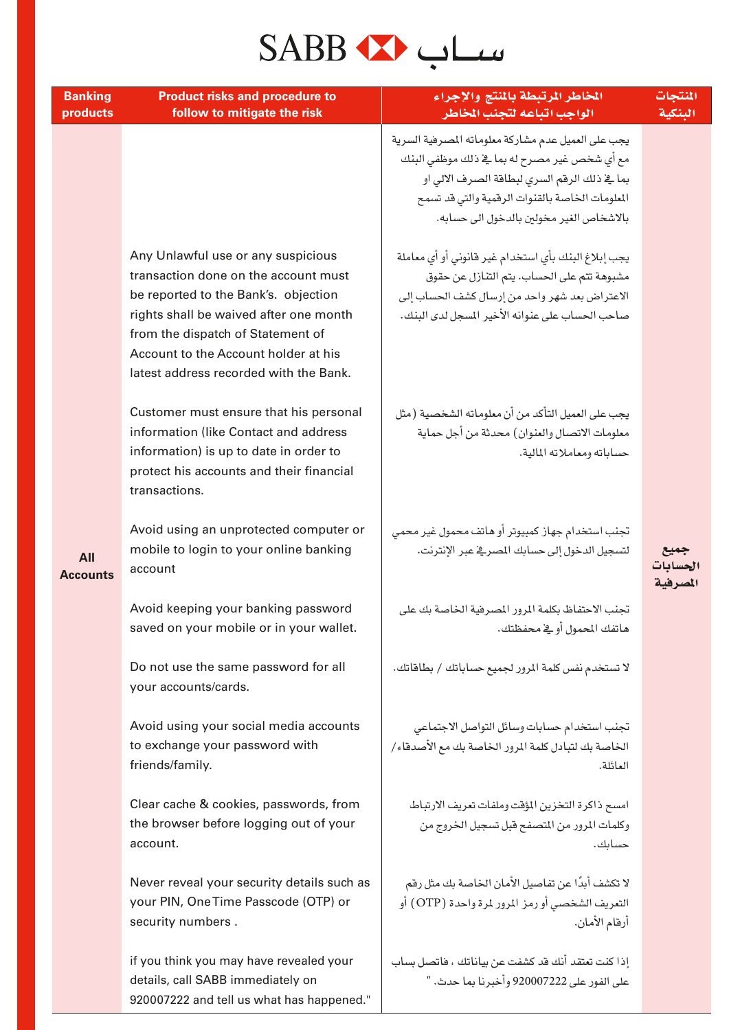#### سىياب مىكە SABB

| <b>Banking</b><br>products | <b>Product risks and procedure to</b><br>follow to mitigate the risk                                                                                                                                                                                                                | المخاطر المرتبطة بالمنتج والإجراء<br>الواجب اتباعه لتجنب المخاطر                                                                                                                                                                                  | المنتجات<br>البنكية          |
|----------------------------|-------------------------------------------------------------------------------------------------------------------------------------------------------------------------------------------------------------------------------------------------------------------------------------|---------------------------------------------------------------------------------------------------------------------------------------------------------------------------------------------------------------------------------------------------|------------------------------|
| All<br><b>Accounts</b>     |                                                                                                                                                                                                                                                                                     | يجب على العميل عدم مشاركة معلوماته المصرفية السرية<br>مع أي شخص غير مصرح له بما ية ذلك موظفي البنك<br>بما ية ذلك الرقم السرى لبطاقة الصرف الالى او<br>المعلومات الخاصة بالقنوات الرقمية والتي قد تسمح<br>بالاشخاص الغير مخولين بالدخول الى حسابه. |                              |
|                            | Any Unlawful use or any suspicious<br>transaction done on the account must<br>be reported to the Bank's. objection<br>rights shall be waived after one month<br>from the dispatch of Statement of<br>Account to the Account holder at his<br>latest address recorded with the Bank. | يجب إبلاغ البنك بأي استخدام غير فانوني أو أي معاملة<br>مشبوهة تتم على الحساب. يتم التنازل عن حقوق<br>الاعتراض بعد شهر واحد من إرسال كشف الحساب إلى<br>صاحب الحساب على عنوانه الأخير المسجل لدى البنك.                                             |                              |
|                            | Customer must ensure that his personal<br>information (like Contact and address<br>information) is up to date in order to<br>protect his accounts and their financial<br>transactions.                                                                                              | يجب على العميل التأكد من أن معلوماته الشخصية (مثل<br>معلومات الاتصال والعنوان) محدثة من أجل حماية<br>حساباته ومعاملاته المالية.                                                                                                                   |                              |
|                            | Avoid using an unprotected computer or<br>mobile to login to your online banking<br>account                                                                                                                                                                                         | تجنب استخدام جهاز كمبيوتر أو هاتف محمول غير محمى<br>لتسجيل الدخول إلى حسابك المصرية عبر الإنترنت.                                                                                                                                                 | جميع<br>الحسابات<br>المصرفية |
|                            | Avoid keeping your banking password<br>saved on your mobile or in your wallet.                                                                                                                                                                                                      | تجنب الاحتفاظ بكلمة المرور المصرفية الخاصة بك على<br>هاتفك المحمول أوكي محفظتك.                                                                                                                                                                   |                              |
|                            | Do not use the same password for all<br>your accounts/cards.                                                                                                                                                                                                                        | لا تستخدم نفس كلمة المرور لجميع حساباتك / بطاقاتك.                                                                                                                                                                                                |                              |
|                            | Avoid using your social media accounts<br>to exchange your password with<br>friends/family.                                                                                                                                                                                         | تجنب استخدام حسابات وسائل التواصل الاجتماعي<br>الخاصة بك لتبادل كلمة المرور الخاصة بك مع الأصدقاء/<br>العائلة.                                                                                                                                    |                              |
|                            | Clear cache & cookies, passwords, from<br>the browser before logging out of your<br>account.                                                                                                                                                                                        | امسح ذاكرة التخزين المؤقت وملفات تعريف الارتباط<br>وكلمات المرور من المتصفح قبل تسجيل الخروج من<br>حسائك.                                                                                                                                         |                              |
|                            | Never reveal your security details such as<br>your PIN, One Time Passcode (OTP) or<br>security numbers.                                                                                                                                                                             | لا تكشف أبدًا عن تفاصيل الأمان الخاصة بك مثل رقم<br>التعريف الشخصي أو رمز المرور لمرة واحدة (OTP) أو<br>أرقام الأمان.                                                                                                                             |                              |
|                            | if you think you may have revealed your                                                                                                                                                                                                                                             | اذا كنت تعتقد أنك قد كشفت عن بياناتك ، فاتصل سياب                                                                                                                                                                                                 |                              |

details, call SABB immediately on

920007222 and tell us what has happened."

على الفور على 920007222 وأخبرنا بما حدث. "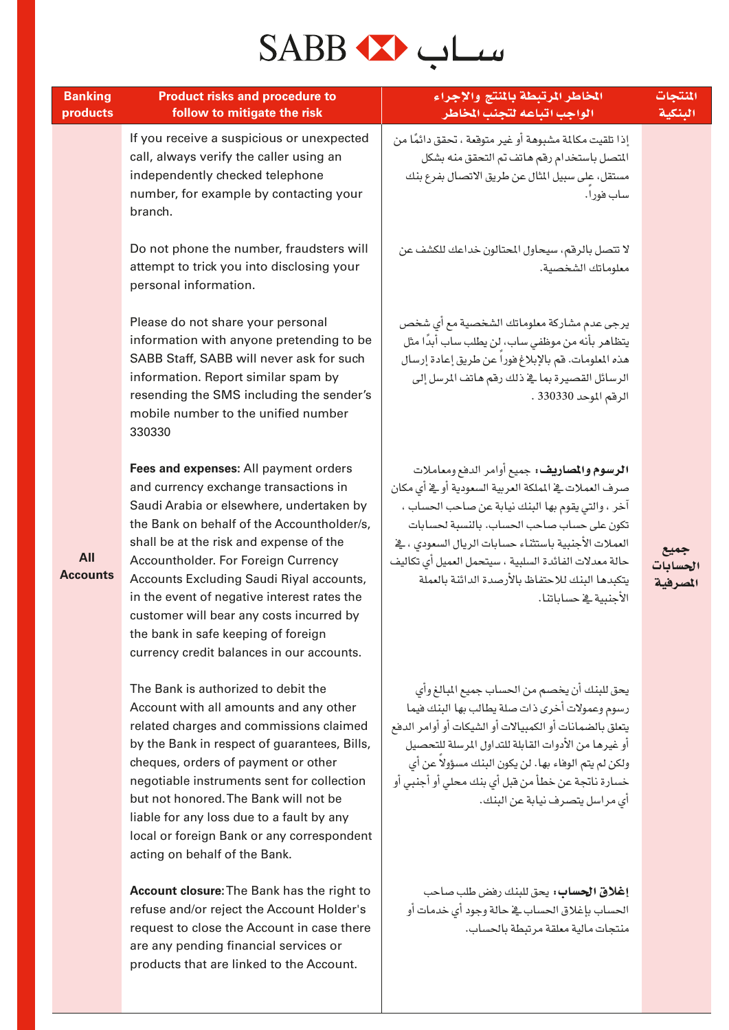#### سىياب مىك

| <b>Banking</b><br>products | <b>Product risks and procedure to</b><br>follow to mitigate the risk                                                                                                                                                                                                                                                                                                                                                                                                                  | الخاطر المرتبطة بالمنتج والإجراء<br>الواجب اتباعه لتجنب المخاطر                                                                                                                                                                                                                                                                                                                                     | المنتجات<br>البنكية  |
|----------------------------|---------------------------------------------------------------------------------------------------------------------------------------------------------------------------------------------------------------------------------------------------------------------------------------------------------------------------------------------------------------------------------------------------------------------------------------------------------------------------------------|-----------------------------------------------------------------------------------------------------------------------------------------------------------------------------------------------------------------------------------------------------------------------------------------------------------------------------------------------------------------------------------------------------|----------------------|
|                            | If you receive a suspicious or unexpected<br>call, always verify the caller using an<br>independently checked telephone<br>number, for example by contacting your<br>branch.                                                                                                                                                                                                                                                                                                          | إذا تلقيت مكالمة مشبوهة أو غير متوقعة ، تحقق دائمًا من<br>المتصل باستخدام رقم هاتف تم التحقق منه بشكل<br>مستقل، على سبيل المثال عن طريق الاتصال بفرع بنك<br>ساب فورا.                                                                                                                                                                                                                               |                      |
|                            | Do not phone the number, fraudsters will<br>attempt to trick you into disclosing your<br>personal information.                                                                                                                                                                                                                                                                                                                                                                        | لا تتصل بالرقم، سيحاول المحتالون خداعك للكشف عن<br>معلوماتك الشخصية.                                                                                                                                                                                                                                                                                                                                |                      |
|                            | Please do not share your personal<br>information with anyone pretending to be<br>SABB Staff, SABB will never ask for such<br>information. Report similar spam by<br>resending the SMS including the sender's<br>mobile number to the unified number<br>330330                                                                                                                                                                                                                         | يرجى عدم مشاركة معلوماتك الشخصية مع أي شخص<br>يتظاهر بأنه من موظفى ساب، لن يطلب ساب أبدًا مثل<br>هذه المعلومات. فم بالإبلاغ فوراً عن طريق إعادة إرسال<br>الرسائل القصيرة بما ية ذلك رقم هاتف المرسل إلى<br>الرقم الموحد 330330 .                                                                                                                                                                    |                      |
| All<br><b>Accounts</b>     | Fees and expenses: All payment orders<br>and currency exchange transactions in<br>Saudi Arabia or elsewhere, undertaken by<br>the Bank on behalf of the Accountholder/s,<br>shall be at the risk and expense of the<br>Accountholder. For Foreign Currency<br>Accounts Excluding Saudi Riyal accounts,<br>in the event of negative interest rates the<br>customer will bear any costs incurred by<br>the bank in safe keeping of foreign<br>currency credit balances in our accounts. | الرسوم والمصاريف: جميع أوامر الدفع ومعاملات<br>صرف العملات في المملكة العربية السعودية أوثي أي مكان<br>آخر ، والتي يقوم بها البنك نيابة عن صاحب الحساب ،<br>تكون على حساب صاحب الحساب. بالنسبة لحسابات<br>العملات الأجنبية باستثناء حسابات الريال السعودي ، في<br>حالة معدلات الفائدة السلبية ، سيتحمل العميل أي تكاليف<br>يتكبدها البنك للاحتفاظ بالأرصدة الدائنة بالعملة<br>الأحنىية في حساباتنا. | الحسابات<br>المصرفية |
|                            | The Bank is authorized to debit the<br>Account with all amounts and any other<br>related charges and commissions claimed<br>by the Bank in respect of guarantees, Bills,<br>cheques, orders of payment or other<br>negotiable instruments sent for collection<br>but not honored. The Bank will not be<br>liable for any loss due to a fault by any<br>local or foreign Bank or any correspondent<br>acting on behalf of the Bank.                                                    | يحق للبنك أن يخصم من الحساب جميع المبالغ وأي<br>رسوم وعمولات أخرى ذات صلة يطالب بها البنك فيما<br>يتعلق بالضمانات أو الكمبيالات أو الشيكات أو أوامر الدفع<br>أو غيرها من الأدوات القابلة للتداول المرسلة للتحصيل<br>ولكن لم يتم الوفاء بها. لن يكون البنك مسؤولا عن أي<br>خسارة ناتجة عن خطأ من قبل أي بنك محلي أو أجنبي أو<br>أى مراسل يتصرف نيابة عن البنك.                                       |                      |
|                            | Account closure: The Bank has the right to                                                                                                                                                                                                                                                                                                                                                                                                                                            | <b>إغلاق الحساب؛</b> يحق للبنك رفض طلب صاحب                                                                                                                                                                                                                                                                                                                                                         |                      |

الحساب بإغلاق الحساب في حالة وجود أي خدمات أو

منتجات مالية معلقة مرتبطة بالحساب.

**Account closure: The Bank has the right to** refuse and/or reject the Account Holder's request to close the Account in case there are any pending financial services or products that are linked to the Account.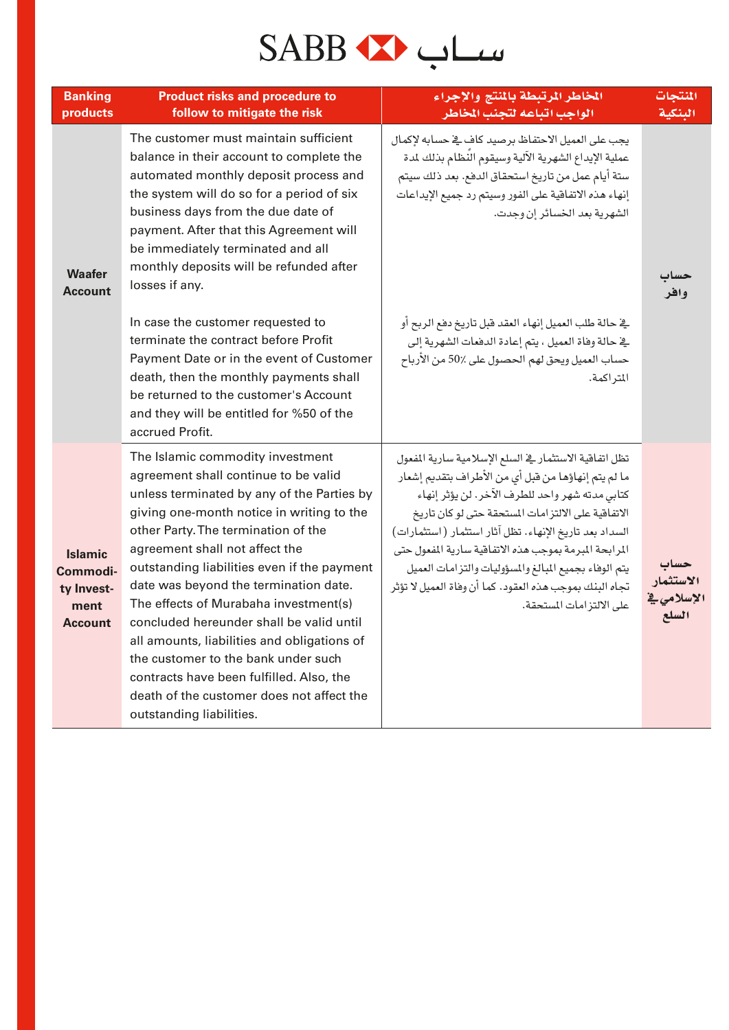### سىياب مىكە SABB

| <b>Banking</b><br>products                                         | <b>Product risks and procedure to</b><br>follow to mitigate the risk                                                                                                                                                                                                                                                                                                                                                                                                                                                                                                                                                                 | الخاطر الرتبطة بالنتج والإجراء<br>الواجب اتباعه لتجنب المخاطر                                                                                                                                                                                                                                                                                                                                                                                                                             | المنتجات<br>المنكبة               |
|--------------------------------------------------------------------|--------------------------------------------------------------------------------------------------------------------------------------------------------------------------------------------------------------------------------------------------------------------------------------------------------------------------------------------------------------------------------------------------------------------------------------------------------------------------------------------------------------------------------------------------------------------------------------------------------------------------------------|-------------------------------------------------------------------------------------------------------------------------------------------------------------------------------------------------------------------------------------------------------------------------------------------------------------------------------------------------------------------------------------------------------------------------------------------------------------------------------------------|-----------------------------------|
| <b>Waafer</b><br><b>Account</b>                                    | The customer must maintain sufficient<br>balance in their account to complete the<br>automated monthly deposit process and<br>the system will do so for a period of six<br>business days from the due date of<br>payment. After that this Agreement will<br>be immediately terminated and all<br>monthly deposits will be refunded after<br>losses if any.                                                                                                                                                                                                                                                                           | يجب على العميل الاحتفاظ برصيد كاف في حسابه لإكمال<br>عملية الإيداع الشهرية الآلية وسيقوم النظام بذلك لمدة<br>سنة أيام عمل من تاريخ استحقاق الدفع. بعد ذلك سيتم<br>إنهاء هذه الاتفاقية على الفور وسيتم رد جميع الإيداعات<br>الشهرية بعد الخسائر إن وجدت.                                                                                                                                                                                                                                   | وافر                              |
|                                                                    | In case the customer requested to<br>terminate the contract before Profit<br>Payment Date or in the event of Customer<br>death, then the monthly payments shall<br>be returned to the customer's Account<br>and they will be entitled for %50 of the<br>accrued Profit.                                                                                                                                                                                                                                                                                                                                                              | في حالة طلب العميل إنهاء العقد قبل تاريخ دفع الربح أو<br>يخ حالة وفاة العميل ، يتم إعادة الدفعات الشهرية إلى<br>حساب العميل ويحق لهم الحصول على 50٪ من الأرباح<br>المتراكمة.                                                                                                                                                                                                                                                                                                              |                                   |
| <b>Islamic</b><br>Commodi-<br>ty Invest-<br>ment<br><b>Account</b> | The Islamic commodity investment<br>agreement shall continue to be valid<br>unless terminated by any of the Parties by<br>giving one-month notice in writing to the<br>other Party. The termination of the<br>agreement shall not affect the<br>outstanding liabilities even if the payment<br>date was beyond the termination date.<br>The effects of Murabaha investment(s)<br>concluded hereunder shall be valid until<br>all amounts, liabilities and obligations of<br>the customer to the bank under such<br>contracts have been fulfilled. Also, the<br>death of the customer does not affect the<br>outstanding liabilities. | تظل اتفاقية الاستثمار في السلع الإسلامية سارية المفعول<br>ما لم يتم إنهاؤها من قبل أي من الأطراف بتقديم إشعار<br>كتابي مدته شهر واحد للطرف الآخر. لن يؤثر إنهاء<br>الاتفاقية على الالتزامات المستحقة حتى لوكان تاريخ<br>السداد بعد تاريخ الإنهاء. تظل آثار استثمار (استثمارات)<br>المرابحة المبرمة بموجب هذه الاتفاقية سارية المفعول حتى<br>يتم الوفاء بجميع المبالغ والمسؤوليات والتزامات العميل<br>تجاه البنك بموجب هذه العقود. كما أن وفاة العميل لا تؤثر<br>على الالتز امات المستحقة. | الاستثمار<br>الإسلامي في<br>السلع |